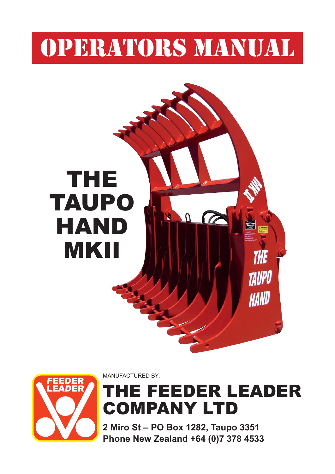# OPERATORS MANUAL





MANUFACTURED BY:

### THE FEEDER LEADER COMPANY LTD

**2 Miro St – PO Box 1282, Taupo 3351 Phone New Zealand +64 (0)7 378 4533**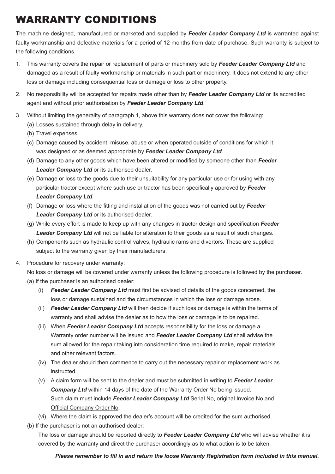### WARRANTY CONDITIONS

The machine designed, manufactured or marketed and supplied by *Feeder Leader Company Ltd* is warranted against faulty workmanship and defective materials for a period of 12 months from date of purchase. Such warranty is subject to the following conditions.

- 1. This warranty covers the repair or replacement of parts or machinery sold by *Feeder Leader Company Ltd* and damaged as a result of faulty workmanship or materials in such part or machinery. It does not extend to any other loss or damage including consequential loss or damage or loss to other property.
- 2. No responsibility will be accepted for repairs made other than by *Feeder Leader Company Ltd* or its accredited agent and without prior authorisation by *Feeder Leader Company Ltd*.
- 3. Without limiting the generality of paragraph 1, above this warranty does not cover the following:
	- (a) Losses sustained through delay in delivery.
	- (b) Travel expenses.
	- (c) Damage caused by accident, misuse, abuse or when operated outside of conditions for which it was designed or as deemed appropriate by *Feeder Leader Company Ltd*.
	- (d) Damage to any other goods which have been altered or modified by someone other than **Feeder**  *Leader Company Ltd* or its authorised dealer.
	- (e) Damage or loss to the goods due to their unsuitability for any particular use or for using with any particular tractor except where such use or tractor has been specifically approved by Feeder  *Leader Company Ltd*.
	- (f) Damage or loss where the fitting and installation of the goods was not carried out by Feeder  *Leader Company Ltd* or its authorised dealer.
	- (g) While every effort is made to keep up with any changes in tractor design and specification **Feeder Leader Company Ltd** will not be liable for alteration to their goods as a result of such changes.
	- (h) Components such as hydraulic control valves, hydraulic rams and divertors. These are supplied subject to the warranty given by their manufacturers.
- 4. Procedure for recovery under warranty:

No loss or damage will be covered under warranty unless the following procedure is followed by the purchaser.

- (a) If the purchaser is an authorised dealer:
	- (i) **Feeder Leader Company Ltd** must first be advised of details of the goods concerned, the loss or damage sustained and the circumstances in which the loss or damage arose.
	- (ii) *Feeder Leader Company Ltd* will then decide if such loss or damage is within the terms of warranty and shall advise the dealer as to how the loss or damage is to be repaired.
	- (iii) When *Feeder Leader Company Ltd* accepts responsibility for the loss or damage a Warranty order number will be issued and *Feeder Leader Company Ltd* shall advise the sum allowed for the repair taking into consideration time required to make, repair materials and other relevant factors.
	- (iv) The dealer should then commence to carry out the necessary repair or replacement work as instructed.
	- (v) A claim form will be sent to the dealer and must be submitted in writing to *Feeder Leader Company Ltd* within 14 days of the date of the Warranty Order No being issued. Such claim must include *Feeder Leader Company Ltd* Serial No, original Invoice No and Official Company Order No.
	- (vi) Where the claim is approved the dealer's account will be credited for the sum authorised.
- (b) If the purchaser is not an authorised dealer:

The loss or damage should be reported directly to *Feeder Leader Company Ltd* who will advise whether it is covered by the warranty and direct the purchaser accordingly as to what action is to be taken.

#### *Please remember to fill in and return the loose Warranty Registration form included in this manual.*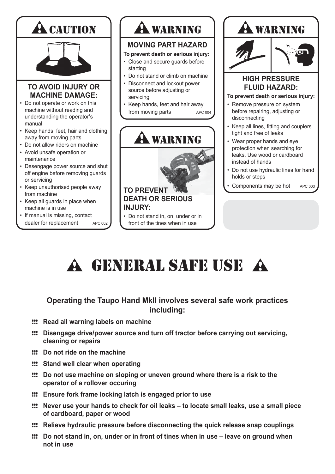

## A GENERAL SAFE USE A

#### **Operating the Taupo Hand MkII involves several safe work practices including:**

- !!! **Read all warning labels on machine**
- !!! **Disengage drive/power source and turn off tractor before carrying out servicing, cleaning or repairs**
- !!! **Do not ride on the machine**
- !!! **Stand well clear when operating**
- !!! **Do not use machine on sloping or uneven ground where there is a risk to the operator of a rollover occuring**
- !!! **Ensure fork frame locking latch is engaged prior to use**
- !!! **Never use your hands to check for oil leaks to locate small leaks, use a small piece of cardboard, paper or wood**
- !!! **Relieve hydraulic pressure before disconnecting the quick release snap couplings**
- !!! **Do not stand in, on, under or in front of tines when in use leave on ground when not in use**